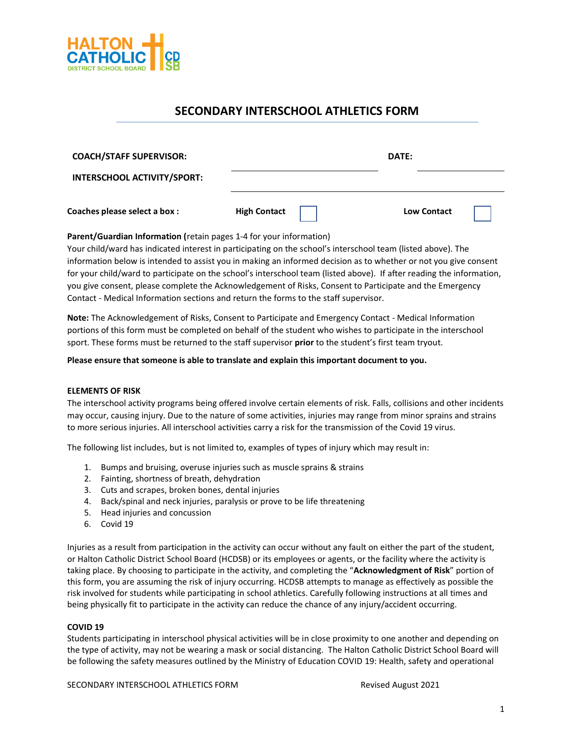

# **SECONDARY INTERSCHOOL ATHLETICS FORM**

| <b>COACH/STAFF SUPERVISOR:</b>     |                     | DATE: |                    |
|------------------------------------|---------------------|-------|--------------------|
| <b>INTERSCHOOL ACTIVITY/SPORT:</b> |                     |       |                    |
| Coaches please select a box :      | <b>High Contact</b> |       | <b>Low Contact</b> |

**Parent/Guardian Information (**retain pages 1-4 for your information)

Your child/ward has indicated interest in participating on the school's interschool team (listed above). The information below is intended to assist you in making an informed decision as to whether or not you give consent for your child/ward to participate on the school's interschool team (listed above). If after reading the information, you give consent, please complete the Acknowledgement of Risks, Consent to Participate and the Emergency Contact - Medical Information sections and return the forms to the staff supervisor.

**Note:** The Acknowledgement of Risks, Consent to Participate and Emergency Contact - Medical Information portions of this form must be completed on behalf of the student who wishes to participate in the interschool sport. These forms must be returned to the staff supervisor **prior** to the student's first team tryout.

**Please ensure that someone is able to translate and explain this important document to you.**

## **ELEMENTS OF RISK**

The interschool activity programs being offered involve certain elements of risk. Falls, collisions and other incidents may occur, causing injury. Due to the nature of some activities, injuries may range from minor sprains and strains to more serious injuries. All interschool activities carry a risk for the transmission of the Covid 19 virus.

The following list includes, but is not limited to, examples of types of injury which may result in:

- 1. Bumps and bruising, overuse injuries such as muscle sprains & strains
- 2. Fainting, shortness of breath, dehydration
- 3. Cuts and scrapes, broken bones, dental injuries
- 4. Back/spinal and neck injuries, paralysis or prove to be life threatening
- 5. Head injuries and concussion
- 6. Covid 19

Injuries as a result from participation in the activity can occur without any fault on either the part of the student, or Halton Catholic District School Board (HCDSB) or its employees or agents, or the facility where the activity is taking place. By choosing to participate in the activity, and completing the "**Acknowledgment of Risk**" portion of this form, you are assuming the risk of injury occurring. HCDSB attempts to manage as effectively as possible the risk involved for students while participating in school athletics. Carefully following instructions at all times and being physically fit to participate in the activity can reduce the chance of any injury/accident occurring.

### **COVID 19**

Students participating in interschool physical activities will be in close proximity to one another and depending on the type of activity, may not be wearing a mask or social distancing. The Halton Catholic District School Board will be following the safety measures outlined by the Ministry of Education COVID 19: Health, safety and operational

SECONDARY INTERSCHOOL ATHLETICS FORM **Revised August 2021**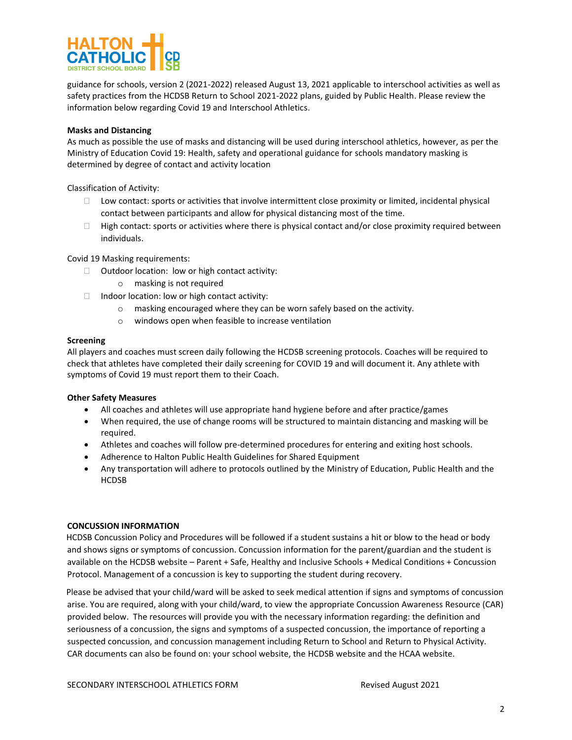

guidance for schools, version 2 (2021-2022) released August 13, 2021 applicable to interschool activities as well as safety practices from the HCDSB Return to School 2021-2022 plans, guided by Public Health. Please review the information below regarding Covid 19 and Interschool Athletics.

## **Masks and Distancing**

As much as possible the use of masks and distancing will be used during interschool athletics, however, as per the Ministry of Education Covid 19: Health, safety and operational guidance for schools mandatory masking is determined by degree of contact and activity location

Classification of Activity:

- $\Box$  Low contact: sports or activities that involve intermittent close proximity or limited, incidental physical contact between participants and allow for physical distancing most of the time.
- $\Box$  High contact: sports or activities where there is physical contact and/or close proximity required between individuals.

Covid 19 Masking requirements:

- $\Box$  Outdoor location: low or high contact activity:
	- o masking is not required
- $\Box$  Indoor location: low or high contact activity:
	- o masking encouraged where they can be worn safely based on the activity.
	- o windows open when feasible to increase ventilation

#### **Screening**

All players and coaches must screen daily following the HCDSB screening protocols. Coaches will be required to check that athletes have completed their daily screening for COVID 19 and will document it. Any athlete with symptoms of Covid 19 must report them to their Coach.

### **Other Safety Measures**

- All coaches and athletes will use appropriate hand hygiene before and after practice/games
- When required, the use of change rooms will be structured to maintain distancing and masking will be required.
- Athletes and coaches will follow pre-determined procedures for entering and exiting host schools.
- Adherence to Halton Public Health Guidelines for Shared Equipment
- Any transportation will adhere to protocols outlined by the Ministry of Education, Public Health and the HCDSB

### **CONCUSSION INFORMATION**

 HCDSB Concussion Policy and Procedures will be followed if a student sustains a hit or blow to the head or body and shows signs or symptoms of concussion. Concussion information for the parent/guardian and the student is available on the HCDSB website – Parent + Safe, Healthy and Inclusive Schools + Medical Conditions + Concussion Protocol. Management of a concussion is key to supporting the student during recovery.

 Please be advised that your child/ward will be asked to seek medical attention if signs and symptoms of concussion arise. You are required, along with your child/ward, to view the appropriate Concussion Awareness Resource (CAR) provided below. The resources will provide you with the necessary information regarding: the definition and seriousness of a concussion, the signs and symptoms of a suspected concussion, the importance of reporting a suspected concussion, and concussion management including Return to School and Return to Physical Activity. CAR documents can also be found on: your school website, the HCDSB website and the HCAA website.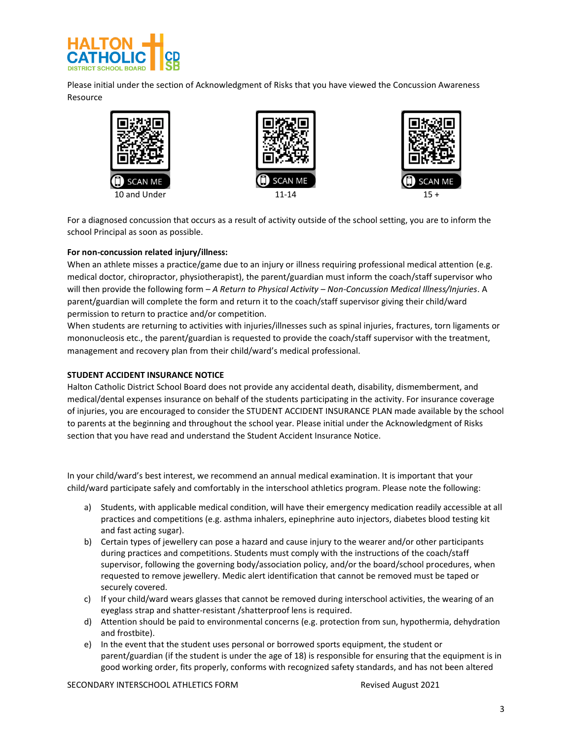

Please initial under the section of Acknowledgment of Risks that you have viewed the Concussion Awareness Resource



For a diagnosed concussion that occurs as a result of activity outside of the school setting, you are to inform the school Principal as soon as possible.

## **For non-concussion related injury/illness:**

When an athlete misses a practice/game due to an injury or illness requiring professional medical attention (e.g. medical doctor, chiropractor, physiotherapist), the parent/guardian must inform the coach/staff supervisor who will then provide the following form – *A Return to Physical Activity – Non-Concussion Medical Illness/Injuries*. A parent/guardian will complete the form and return it to the coach/staff supervisor giving their child/ward permission to return to practice and/or competition.

When students are returning to activities with injuries/illnesses such as spinal injuries, fractures, torn ligaments or mononucleosis etc., the parent/guardian is requested to provide the coach/staff supervisor with the treatment, management and recovery plan from their child/ward's medical professional.

## **STUDENT ACCIDENT INSURANCE NOTICE**

Halton Catholic District School Board does not provide any accidental death, disability, dismemberment, and medical/dental expenses insurance on behalf of the students participating in the activity. For insurance coverage of injuries, you are encouraged to consider the STUDENT ACCIDENT INSURANCE PLAN made available by the school to parents at the beginning and throughout the school year. Please initial under the Acknowledgment of Risks section that you have read and understand the Student Accident Insurance Notice.

In your child/ward's best interest, we recommend an annual medical examination. It is important that your child/ward participate safely and comfortably in the interschool athletics program. Please note the following:

- a) Students, with applicable medical condition, will have their emergency medication readily accessible at all practices and competitions (e.g. asthma inhalers, epinephrine auto injectors, diabetes blood testing kit and fast acting sugar).
- b) Certain types of jewellery can pose a hazard and cause injury to the wearer and/or other participants during practices and competitions. Students must comply with the instructions of the coach/staff supervisor, following the governing body/association policy, and/or the board/school procedures, when requested to remove jewellery. Medic alert identification that cannot be removed must be taped or securely covered.
- c) If your child/ward wears glasses that cannot be removed during interschool activities, the wearing of an eyeglass strap and shatter-resistant /shatterproof lens is required.
- d) Attention should be paid to environmental concerns (e.g. protection from sun, hypothermia, dehydration and frostbite).
- e) In the event that the student uses personal or borrowed sports equipment, the student or parent/guardian (if the student is under the age of 18) is responsible for ensuring that the equipment is in good working order, fits properly, conforms with recognized safety standards, and has not been altered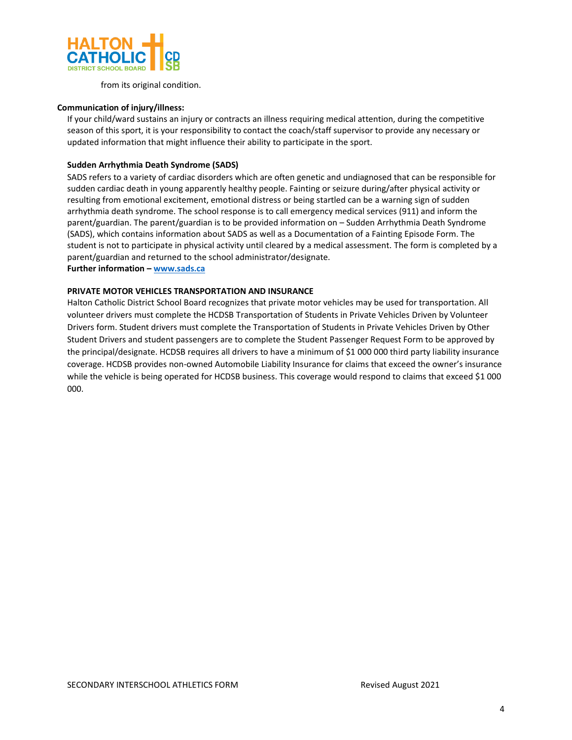

from its original condition.

### **Communication of injury/illness:**

If your child/ward sustains an injury or contracts an illness requiring medical attention, during the competitive season of this sport, it is your responsibility to contact the coach/staff supervisor to provide any necessary or updated information that might influence their ability to participate in the sport.

### **Sudden Arrhythmia Death Syndrome (SADS)**

SADS refers to a variety of cardiac disorders which are often genetic and undiagnosed that can be responsible for sudden cardiac death in young apparently healthy people. Fainting or seizure during/after physical activity or resulting from emotional excitement, emotional distress or being startled can be a warning sign of sudden arrhythmia death syndrome. The school response is to call emergency medical services (911) and inform the parent/guardian. The parent/guardian is to be provided information on – Sudden Arrhythmia Death Syndrome (SADS), which contains information about SADS as well as a Documentation of a Fainting Episode Form. The student is not to participate in physical activity until cleared by a medical assessment. The form is completed by a parent/guardian and returned to the school administrator/designate. **Further information – [www.sads.ca](http://www.sads.ca/)**

## **PRIVATE MOTOR VEHICLES TRANSPORTATION AND INSURANCE**

Halton Catholic District School Board recognizes that private motor vehicles may be used for transportation. All volunteer drivers must complete the HCDSB Transportation of Students in Private Vehicles Driven by Volunteer Drivers form. Student drivers must complete the Transportation of Students in Private Vehicles Driven by Other Student Drivers and student passengers are to complete the Student Passenger Request Form to be approved by the principal/designate. HCDSB requires all drivers to have a minimum of \$1 000 000 third party liability insurance coverage. HCDSB provides non-owned Automobile Liability Insurance for claims that exceed the owner's insurance while the vehicle is being operated for HCDSB business. This coverage would respond to claims that exceed \$1 000 000.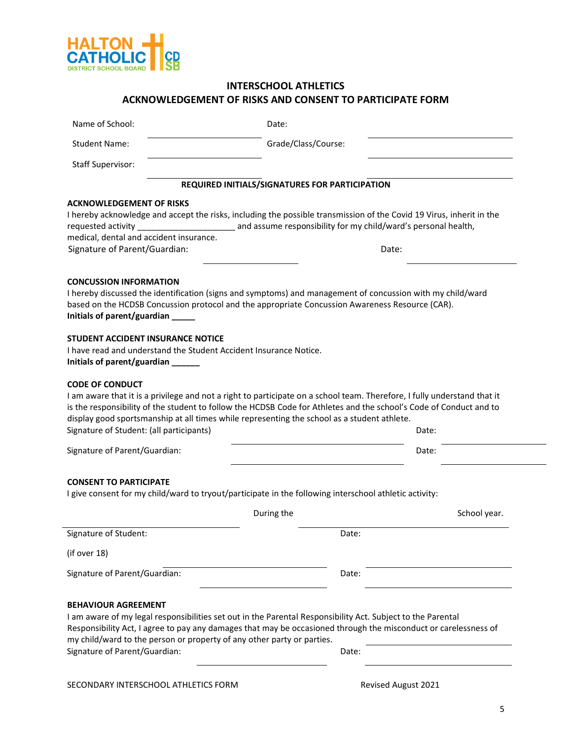

|                                                                   | <b>ACKNOWLEDGEMENT OF RISKS AND CONSENT TO PARTICIPATE FORM</b>                                        |                                                |                                                                                                                                                                                                                                                         |  |
|-------------------------------------------------------------------|--------------------------------------------------------------------------------------------------------|------------------------------------------------|---------------------------------------------------------------------------------------------------------------------------------------------------------------------------------------------------------------------------------------------------------|--|
| Name of School:                                                   |                                                                                                        | Date:                                          |                                                                                                                                                                                                                                                         |  |
| <b>Student Name:</b>                                              |                                                                                                        | Grade/Class/Course:                            |                                                                                                                                                                                                                                                         |  |
| <b>Staff Supervisor:</b>                                          |                                                                                                        |                                                |                                                                                                                                                                                                                                                         |  |
|                                                                   |                                                                                                        | REQUIRED INITIALS/SIGNATURES FOR PARTICIPATION |                                                                                                                                                                                                                                                         |  |
| <b>ACKNOWLEDGEMENT OF RISKS</b>                                   |                                                                                                        |                                                |                                                                                                                                                                                                                                                         |  |
|                                                                   |                                                                                                        |                                                | I hereby acknowledge and accept the risks, including the possible transmission of the Covid 19 Virus, inherit in the                                                                                                                                    |  |
| requested activity                                                |                                                                                                        |                                                | and assume responsibility for my child/ward's personal health,                                                                                                                                                                                          |  |
| medical, dental and accident insurance.                           |                                                                                                        |                                                |                                                                                                                                                                                                                                                         |  |
| Signature of Parent/Guardian:                                     |                                                                                                        |                                                | Date:                                                                                                                                                                                                                                                   |  |
| <b>CONCUSSION INFORMATION</b>                                     |                                                                                                        |                                                |                                                                                                                                                                                                                                                         |  |
|                                                                   |                                                                                                        |                                                | I hereby discussed the identification (signs and symptoms) and management of concussion with my child/ward                                                                                                                                              |  |
|                                                                   | based on the HCDSB Concussion protocol and the appropriate Concussion Awareness Resource (CAR).        |                                                |                                                                                                                                                                                                                                                         |  |
| Initials of parent/guardian _____                                 |                                                                                                        |                                                |                                                                                                                                                                                                                                                         |  |
| <b>STUDENT ACCIDENT INSURANCE NOTICE</b>                          |                                                                                                        |                                                |                                                                                                                                                                                                                                                         |  |
| I have read and understand the Student Accident Insurance Notice. |                                                                                                        |                                                |                                                                                                                                                                                                                                                         |  |
|                                                                   |                                                                                                        |                                                |                                                                                                                                                                                                                                                         |  |
| Initials of parent/guardian ______<br><b>CODE OF CONDUCT</b>      |                                                                                                        |                                                |                                                                                                                                                                                                                                                         |  |
| Signature of Student: (all participants)                          | display good sportsmanship at all times while representing the school as a student athlete.            |                                                | I am aware that it is a privilege and not a right to participate on a school team. Therefore, I fully understand that it<br>is the responsibility of the student to follow the HCDSB Code for Athletes and the school's Code of Conduct and to<br>Date: |  |
| Signature of Parent/Guardian:                                     |                                                                                                        |                                                | Date:                                                                                                                                                                                                                                                   |  |
| <b>CONSENT TO PARTICIPATE</b>                                     | I give consent for my child/ward to tryout/participate in the following interschool athletic activity: | During the                                     | School year.                                                                                                                                                                                                                                            |  |
| Signature of Student:                                             |                                                                                                        | Date:                                          |                                                                                                                                                                                                                                                         |  |
| (if over 18)                                                      |                                                                                                        |                                                |                                                                                                                                                                                                                                                         |  |
| Signature of Parent/Guardian:                                     |                                                                                                        | Date:                                          |                                                                                                                                                                                                                                                         |  |
|                                                                   |                                                                                                        |                                                |                                                                                                                                                                                                                                                         |  |
| <b>BEHAVIOUR AGREEMENT</b>                                        |                                                                                                        |                                                |                                                                                                                                                                                                                                                         |  |
|                                                                   |                                                                                                        |                                                | I am aware of my legal responsibilities set out in the Parental Responsibility Act. Subject to the Parental                                                                                                                                             |  |
|                                                                   |                                                                                                        |                                                | Responsibility Act, I agree to pay any damages that may be occasioned through the misconduct or carelessness of                                                                                                                                         |  |
| Signature of Parent/Guardian:                                     | my child/ward to the person or property of any other party or parties.                                 |                                                | Date:                                                                                                                                                                                                                                                   |  |